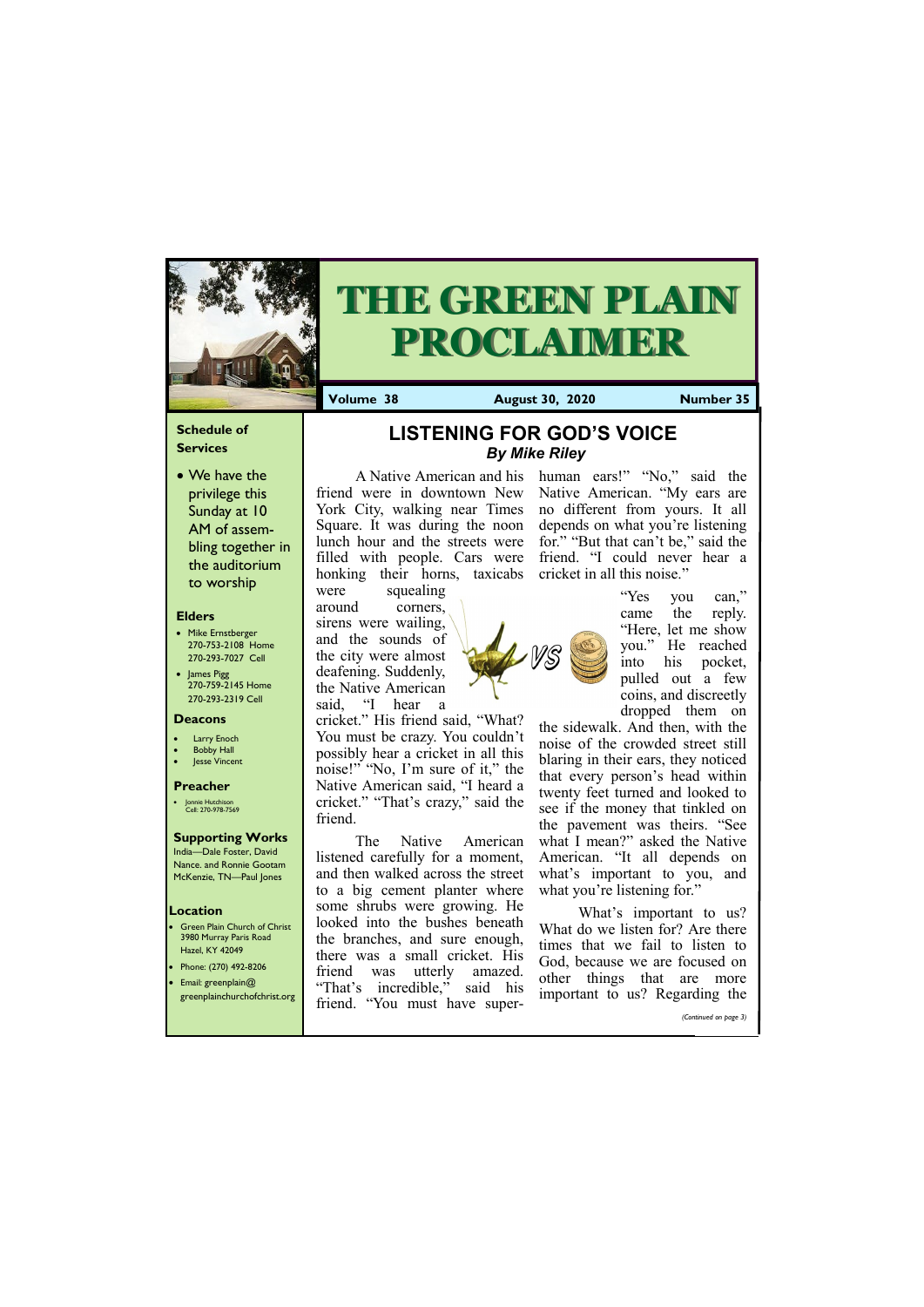# **Schedule of Services**

• We have the privilege this Sunday at 10 AM of assembling together in the auditorium to worship

#### **Elders**

- **Green Plain Church of Christ** 3980 Murray Paris Road Hazel, KY 42049 • Phone: (270) 492-8206
- Email: greenplain@
- Mike Ernstberger 270-753-2108 Home 270-293-7027 Cell
- James Pigg 270-759-2145 Home 270-293-2319 Cell

#### **Location**



# **THE GREEN PLAIN PROCLAIMER**

**Volume 38 August 30, 2020 Number 35**

#### **Deacons**

- **Larry Enoch**
- **Bobby Hall**
- **Jesse Vincent**

#### **Preacher**

• Jonnie Hutchison Cell: 270-978-7569

# **Supporting Works**

India—Dale Foster, David Nance. and Ronnie Gootam McKenzie, TN—Paul Jones

The Native American listened carefully for a moment, and then walked across the street to a big cement planter where some shrubs were growing. He looked into the bushes beneath the branches, and sure enough, there was a small cricket. His friend was utterly amazed. "That's incredible," said his

A Native American and his friend were in downtown New York City, walking near Times Square. It was during the noon lunch hour and the streets were filled with people. Cars were honking their horns, taxicabs were squealing

around corners, sirens were wailing, and the sounds of the city were almost deafening. Suddenly, the Native American said, "I hear a

> the sidewalk. And then, with the noise of the crowded street still blaring in their ears, they noticed that every person's head within twenty feet turned and looked to see if the money that tinkled on the pavement was theirs. "See what I mean?" asked the Native American. "It all depends on what's important to you, and what you're listening for."

cricket." His friend said, "What? You must be crazy. You couldn't possibly hear a cricket in all this noise!" "No, I'm sure of it," the Native American said, "I heard a cricket." "That's crazy," said the friend.

| greenplainchurchofchrist.org | That s incredible,<br>said<br>ШЯ<br>friend.<br>. "You must have super- | important to us? Regarding the |
|------------------------------|------------------------------------------------------------------------|--------------------------------|
|                              |                                                                        | (Continued on page 3)          |

human ears!" "No," said the Native American. "My ears are no different from yours. It all depends on what you're listening for." "But that can't be," said the friend. "I could never hear a cricket in all this noise."



"Yes you can," came the reply. "Here, let me show you." He reached into his pocket, pulled out a few coins, and discreetly dropped them on

What's important to us? What do we listen for? Are there times that we fail to listen to God, because we are focused on other things that are more

**LISTENING FOR GOD'S VOICE**  *By Mike Riley*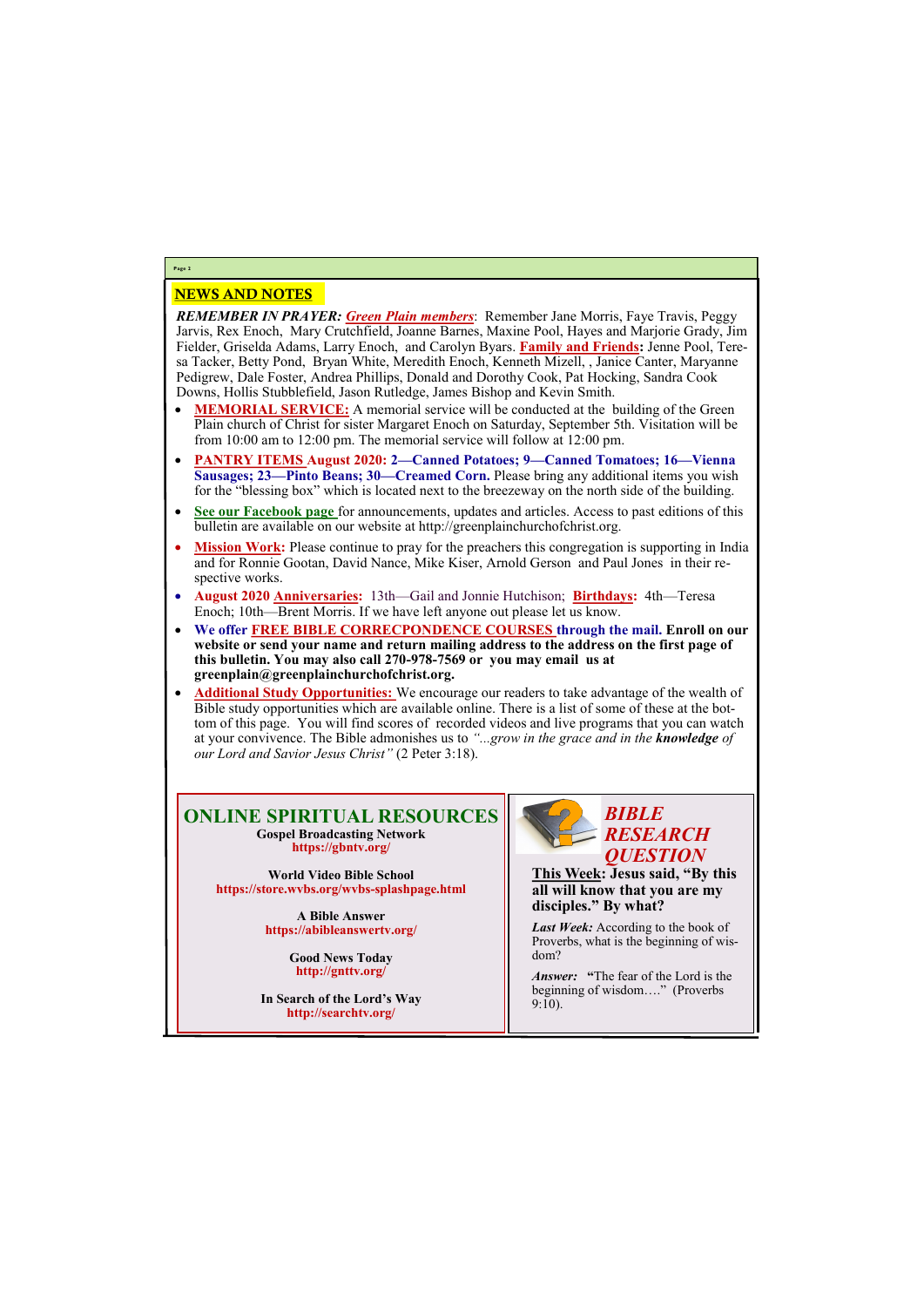# NEWS AND NOTES

*REMEMBER IN PRAYER: Green Plain members*: Remember Jane Morris, Faye Travis, Peggy Jarvis, Rex Enoch, Mary Crutchfield, Joanne Barnes, Maxine Pool, Hayes and Marjorie Grady, Jim Fielder, Griselda Adams, Larry Enoch, and Carolyn Byars. **Family and Friends:** Jenne Pool, Teresa Tacker, Betty Pond, Bryan White, Meredith Enoch, Kenneth Mizell, , Janice Canter, Maryanne Pedigrew, Dale Foster, Andrea Phillips, Donald and Dorothy Cook, Pat Hocking, Sandra Cook Downs, Hollis Stubblefield, Jason Rutledge, James Bishop and Kevin Smith.

- **MEMORIAL SERVICE:** A memorial service will be conducted at the building of the Green Plain church of Christ for sister Margaret Enoch on Saturday, September 5th. Visitation will be from 10:00 am to 12:00 pm. The memorial service will follow at 12:00 pm.
- **PANTRY ITEMS August 2020: 2—Canned Potatoes; 9—Canned Tomatoes; 16—Vienna Sausages; 23—Pinto Beans; 30—Creamed Corn.** Please bring any additional items you wish for the "blessing box" which is located next to the breezeway on the north side of the building.
- **See our Facebook page** for announcements, updates and articles. Access to past editions of this bulletin are available on our website at http://greenplainchurchofchrist.org.
- Mission Work: Please continue to pray for the preachers this congregation is supporting in India and for Ronnie Gootan, David Nance, Mike Kiser, Arnold Gerson and Paul Jones in their respective works.
- **August 2020 Anniversaries:** 13th—Gail and Jonnie Hutchison; **Birthdays:** 4th—Teresa Enoch; 10th—Brent Morris. If we have left anyone out please let us know.
- **We offer FREE BIBLE CORRECPONDENCE COURSES through the mail. Enroll on our**  website or send your name and return mailing address to the address on the first page of **this bulletin. You may also call 270-978-7569 or you may email us at greenplain@greenplainchurchofchrist.org.**
- **Additional Study Opportunities:** We encourage our readers to take advantage of the wealth of Bible study opportunities which are available online. There is a list of some of these at the bottom of this page. You will find scores of recorded videos and live programs that you can watch at your convivence. The Bible admonishes us to *"...grow in the grace and in the knowledge of our Lord and Savior Jesus Christ"* (2 Peter 3:18).

# **Page 2**

## **ONLINE SPIRITUAL RESOURCES Gospel Broadcasting Network https://gbntv.org/**

**World Video Bible School https://store.wvbs.org/wvbs-splashpage.html**

> **A Bible Answer https://abibleanswertv.org/**

> > **Good News Today http://gnttv.org/**

**In Search of the Lord's Way http://searchtv.org/**



**This Week: Jesus said, "By this all will know that you are my disciples." By what?**

*Last Week:* According to the book of Proverbs, what is the beginning of wisdom?

*Answer:* **"**The fear of the Lord is the beginning of wisdom…." (Proverbs 9:10).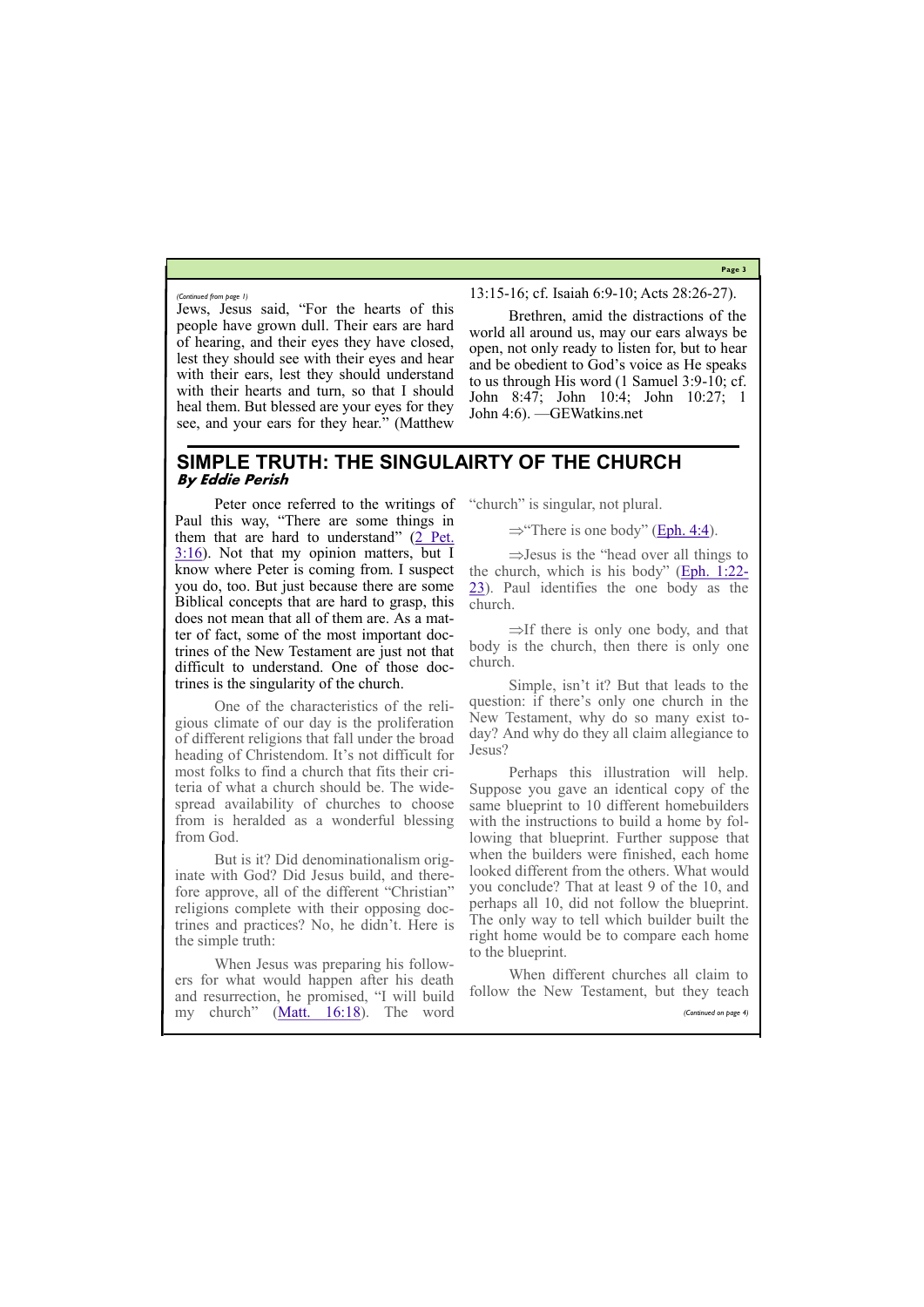**Page 3**

Jews, Jesus said, "For the hearts of this people have grown dull. Their ears are hard of hearing, and their eyes they have closed, lest they should see with their eyes and hear with their ears, lest they should understand with their hearts and turn, so that I should heal them. But blessed are your eyes for they see, and your ears for they hear." (Matthew

13:15-16; cf. Isaiah 6:9-10; Acts 28:26-27).

Brethren, amid the distractions of the world all around us, may our ears always be open, not only ready to listen for, but to hear and be obedient to God's voice as He speaks to us through His word (1 Samuel 3:9-10; cf. John 8:47; John 10:4; John 10:27; 1 John 4:6). —GEWatkins.net

*(Continued from page 1)*

# **SIMPLE TRUTH: THE SINGULAIRTY OF THE CHURCH By Eddie Perish**

Peter once referred to the writings of Paul this way, "There are some things in them that are hard to understand" ([2 Pet.](https://biblia.com/bible/esv/2%20Pet.%203.16)   $3:16$ ). Not that my opinion matters, but I know where Peter is coming from. I suspect you do, too. But just because there are some Biblical concepts that are hard to grasp, this does not mean that all of them are. As a matter of fact, some of the most important doctrines of the New Testament are just not that difficult to understand. One of those doctrines is the singularity of the church.

 $\Rightarrow$  Jesus is the "head over all things to the church, which is his body" ([Eph. 1:22](https://biblia.com/bible/esv/Eph.%201.22-23)- [23\).](https://biblia.com/bible/esv/Eph.%201.22-23) Paul identifies the one body as the church.

 $\Rightarrow$ If there is only one body, and that body is the church, then there is only one church.

One of the characteristics of the religious climate of our day is the proliferation of different religions that fall under the broad heading of Christendom. It's not difficult for most folks to find a church that fits their criteria of what a church should be. The widespread availability of churches to choose from is heralded as a wonderful blessing from God.

But is it? Did denominationalism originate with God? Did Jesus build, and therefore approve, all of the different "Christian" religions complete with their opposing doctrines and practices? No, he didn't. Here is the simple truth:

When Jesus was preparing his follow-

"church" is singular, not plural.

 $\Rightarrow$  There is one body" ([Eph. 4:4\)](https://biblia.com/bible/esv/Eph.%204.4).

Simple, isn't it? But that leads to the question: if there's only one church in the New Testament, why do so many exist today? And why do they all claim allegiance to Jesus?

ers for what would happen after his death and resurrection, he promised, "I will build my church" ([Matt. 16:18\)](https://biblia.com/bible/esv/Matt.%2016.18). The word When different churches all claim to follow the New Testament, but they teach *(Continued on page 4)*

Perhaps this illustration will help. Suppose you gave an identical copy of the same blueprint to 10 different homebuilders with the instructions to build a home by following that blueprint. Further suppose that when the builders were finished, each home looked different from the others. What would you conclude? That at least 9 of the 10, and perhaps all 10, did not follow the blueprint. The only way to tell which builder built the right home would be to compare each home to the blueprint.